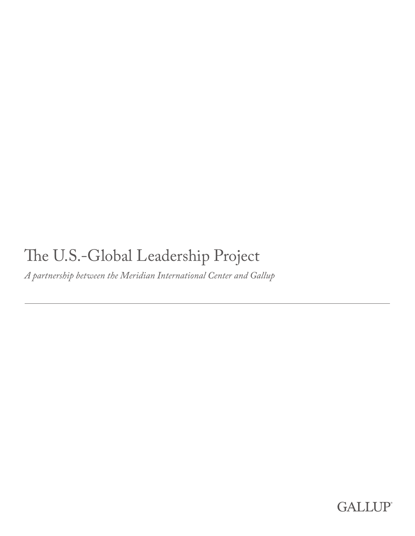# The U.S.-Global Leadership Project

*A partnership between the Meridian International Center and Gallup*

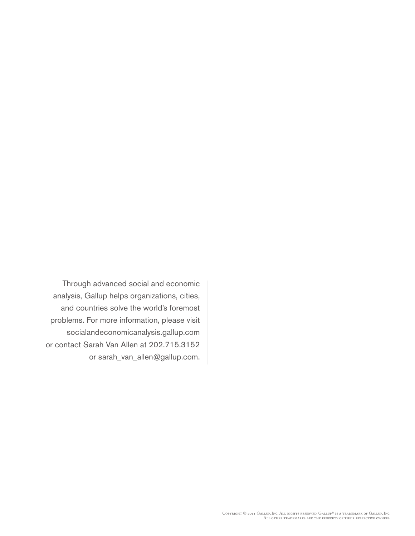Through advanced social and economic analysis, Gallup helps organizations, cities, and countries solve the world's foremost problems. For more information, please visit socialandeconomicanalysis.gallup.com or contact Sarah Van Allen at 202.715.3152 or sarah\_van\_allen@gallup.com.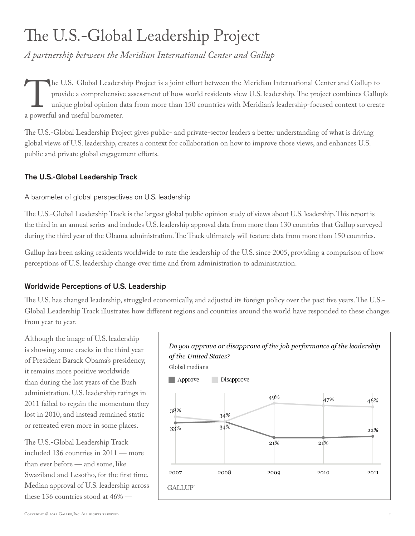# The U.S.-Global Leadership Project

*A partnership between the Meridian International Center and Gallup*

The U.S.-Global Leadership Project is a joint effort between the Meridian International Center and Gallup to provide a comprehensive assessment of how world residents view U.S. leadership. The project combines Gallup uniqu provide a comprehensive assessment of how world residents view U.S. leadership. The project combines Gallup's unique global opinion data from more than 150 countries with Meridian's leadership-focused context to create a powerful and useful barometer.

The U.S.-Global Leadership Project gives public- and private-sector leaders a better understanding of what is driving global views of U.S. leadership, creates a context for collaboration on how to improve those views, and enhances U.S. public and private global engagement efforts.

### The U.S.-Global Leadership Track

### A barometer of global perspectives on U.S. leadership

The U.S.-Global Leadership Track is the largest global public opinion study of views about U.S. leadership. This report is the third in an annual series and includes U.S. leadership approval data from more than 130 countries that Gallup surveyed during the third year of the Obama administration. The Track ultimately will feature data from more than 150 countries.

Gallup has been asking residents worldwide to rate the leadership of the U.S. since 2005, providing a comparison of how perceptions of U.S. leadership change over time and from administration to administration.

### Worldwide Perceptions of U.S. Leadership

The U.S. has changed leadership, struggled economically, and adjusted its foreign policy over the past five years. The U.S.- Global Leadership Track illustrates how different regions and countries around the world have responded to these changes from year to year.

Although the image of U.S. leadership is showing some cracks in the third year of President Barack Obama's presidency, it remains more positive worldwide than during the last years of the Bush administration. U.S. leadership ratings in 2011 failed to regain the momentum they lost in 2010, and instead remained static or retreated even more in some places.

The U.S.-Global Leadership Track included 136 countries in 2011 — more than ever before — and some, like Swaziland and Lesotho, for the first time. Median approval of U.S. leadership across these 136 countries stood at 46% —

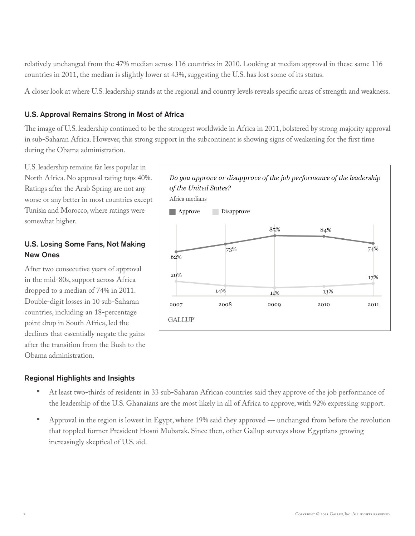relatively unchanged from the 47% median across 116 countries in 2010. Looking at median approval in these same 116 countries in 2011, the median is slightly lower at 43%, suggesting the U.S. has lost some of its status.

A closer look at where U.S. leadership stands at the regional and country levels reveals specific areas of strength and weakness.

#### U.S. Approval Remains Strong in Most of Africa

The image of U.S. leadership continued to be the strongest worldwide in Africa in 2011, bolstered by strong majority approval in sub-Saharan Africa. However, this strong support in the subcontinent is showing signs of weakening for the first time during the Obama administration.

U.S. leadership remains far less popular in North Africa. No approval rating tops 40%. Ratings after the Arab Spring are not any worse or any better in most countries except Tunisia and Morocco, where ratings were somewhat higher.

### U.S. Losing Some Fans, Not Making New Ones

After two consecutive years of approval in the mid-80s, support across Africa dropped to a median of 74% in 2011. Double-digit losses in 10 sub-Saharan countries, including an 18-percentage point drop in South Africa, led the declines that essentially negate the gains after the transition from the Bush to the Obama administration.

#### Do you approve or disapprove of the job performance of the leadership of the United States? Africa medians Approve Disapprove 85% 84% 73% 74%  $62%$  $20%$ 17% 14% 13% 11% 2007 2008 2009 2010 2011

#### Regional Highlights and Insights

• At least two-thirds of residents in 33 sub-Saharan African countries said they approve of the job performance of the leadership of the U.S. Ghanaians are the most likely in all of Africa to approve, with 92% expressing support.

**GALLUP** 

• Approval in the region is lowest in Egypt, where 19% said they approved — unchanged from before the revolution that toppled former President Hosni Mubarak. Since then, other Gallup surveys show Egyptians growing increasingly skeptical of U.S. aid.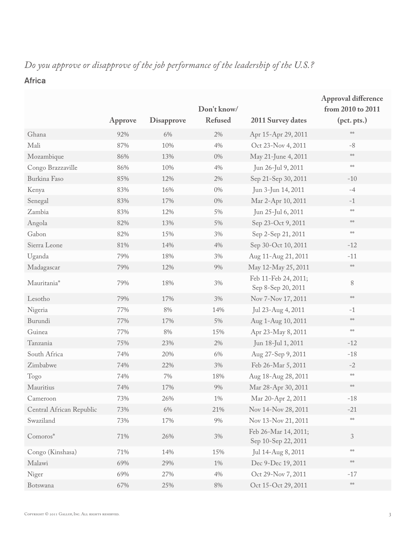# Africa

|                          |         |                   | Don't know/    |                                             | <b>Approval difference</b><br>from 2010 to 2011          |
|--------------------------|---------|-------------------|----------------|---------------------------------------------|----------------------------------------------------------|
|                          | Approve | <b>Disapprove</b> | <b>Refused</b> | 2011 Survey dates                           | (pct. pts.)                                              |
| Ghana                    | 92%     | $6\%$             | 2%             | Apr 15-Apr 29, 2011                         | $\mathcal{S}[\mathcal{C} \mathcal{C}]$                   |
| Mali                     | 87%     | 10%               | $4\%$          | Oct 23-Nov 4, 2011                          | $-8$                                                     |
| Mozambique               | 86%     | 13%               | $0\%$          | May 21-June 4, 2011                         | $\mathfrak{z}[\mathfrak{c}\mathfrak{z}]\mathfrak{c}$     |
| Congo Brazzaville        | 86%     | $10\%$            | 4%             | Jun 26-Jul 9, 2011                          | $\mathrm{p}[\mathrm{C2}]\mathrm{C}$                      |
| Burkina Faso             | 85%     | 12%               | 2%             | Sep 21-Sep 30, 2011                         | $-10$                                                    |
| Kenya                    | 83%     | 16%               | $0\%$          | Jun 3-Jun 14, 2011                          | $-4$                                                     |
| Senegal                  | 83%     | 17%               | $0\%$          | Mar 2-Apr 10, 2011                          | $-1$                                                     |
| Zambia                   | 83%     | 12%               | 5%             | Jun 25-Jul 6, 2011                          | $\mathfrak{z}[{\mathfrak{c}}\mathfrak{z}]{\mathfrak{c}}$ |
| Angola                   | 82%     | 13%               | 5%             | Sep 23-Oct 9, 2011                          | $\mathfrak{z}[\mathfrak{c}\mathfrak{z}]\mathfrak{c}$     |
| Gabon                    | 82%     | 15%               | $3\%$          | Sep 2-Sep 21, 2011                          | $\mathcal{C}[\mathcal{C}]$                               |
| Sierra Leone             | 81%     | 14%               | $4\%$          | Sep 30-Oct 10, 2011                         | $-12$                                                    |
| Uganda                   | 79%     | 18%               | 3%             | Aug 11-Aug 21, 2011                         | $-11$                                                    |
| Madagascar               | 79%     | 12%               | 9%             | May 12-May 25, 2011                         | $\mathfrak{z}[\mathsf{c}\mathfrak{z}]\mathsf{c}$         |
| Mauritania*              | 79%     | 18%               | $3\%$          | Feb 11-Feb 24, 2011;<br>Sep 8-Sep 20, 2011  | $\,8\,$                                                  |
| Lesotho                  | 79%     | 17%               | 3%             | Nov 7-Nov 17, 2011                          | $\mathcal{S}[\mathbb{C}^2]$ :                            |
| Nigeria                  | 77%     | $8\%$             | 14%            | Jul 23-Aug 4, 2011                          | $-1$                                                     |
| Burundi                  | 77%     | 17%               | 5%             | Aug 1-Aug 10, 2011                          | $\mathcal{S}[\mathbb{C} \mathcal{S}] \mathbb{C}$         |
| Guinea                   | 77%     | $8\%$             | 15%            | Apr 23-May 8, 2011                          | $\mathrm{p}[\mathrm{C2}]\mathrm{C}$                      |
| Tanzania                 | 75%     | 23%               | 2%             | Jun 18-Jul 1, 2011                          | $-12$                                                    |
| South Africa             | 74%     | 20%               | $6\%$          | Aug 27-Sep 9, 2011                          | $-18$                                                    |
| Zimbabwe                 | 74%     | 22%               | 3%             | Feb 26-Mar 5, 2011                          | $-2$                                                     |
| Togo                     | 74%     | $7\%$             | 18%            | Aug 18-Aug 28, 2011                         | $\mathfrak{z}[{\mathbb C}{\mathbb R}]{\mathbb C}$        |
| Mauritius                | 74%     | 17%               | $9\%$          | Mar 28-Apr 30, 2011                         | $\mathfrak{z}[\mathbb{C}\mathbb{Z}]\mathbb{C}$           |
| Cameroon                 | 73%     | 26%               | $1\%$          | Mar 20-Apr 2, 2011                          | $-18$                                                    |
| Central African Republic | 73%     | 6%                | 21%            | Nov 14-Nov 28, 2011                         | $-21$                                                    |
| Swaziland                | 73%     | 17%               | $9\%$          | Nov 13-Nov 21, 2011                         | $\mathfrak{z}[\mathfrak{c}\mathfrak{z}]\mathfrak{c}$     |
| Comoros*                 | 71%     | 26%               | $3\%$          | Feb 26-Mar 14, 2011;<br>Sep 10-Sep 22, 2011 | $\mathfrak{Z}$                                           |
| Congo (Kinshasa)         | 71%     | 14%               | 15%            | Jul 14-Aug 8, 2011                          | $\mathcal{C}[\mathbb{C}^2]$                              |
| Malawi                   | 69%     | 29%               | $1\%$          | Dec 9-Dec 19, 2011                          | $\mathcal{S}[\mathbb{C}^2]$                              |
| Niger                    | 69%     | 27%               | 4%             | Oct 29-Nov 7, 2011                          | $-17$                                                    |
| Botswana                 | 67%     | 25%               | $8\%$          | Oct 15-Oct 29, 2011                         | $\mathcal{C}[\mathcal{C}]$                               |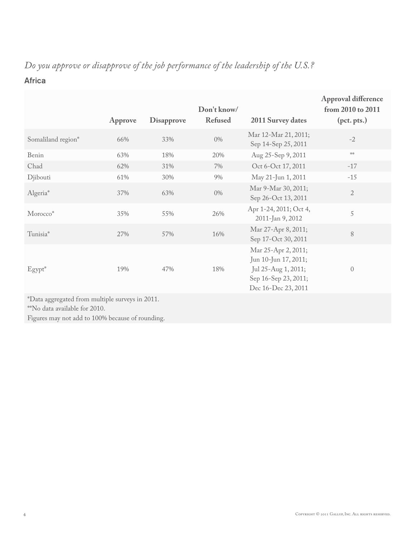# Africa

|                                                 | Approve | <b>Disapprove</b> | Don't know/<br><b>Refused</b> | <b>2011 Survey dates</b>                                                                                          | Approval difference<br>from 2010 to 2011<br>(pct. pts.) |
|-------------------------------------------------|---------|-------------------|-------------------------------|-------------------------------------------------------------------------------------------------------------------|---------------------------------------------------------|
| Somaliland region*                              | 66%     | 33%               | $0\%$                         | Mar 12-Mar 21, 2011;<br>Sep 14-Sep 25, 2011                                                                       | $-2$                                                    |
| Benin                                           | 63%     | 18%               | 20%                           | Aug 25-Sep 9, 2011                                                                                                | $\mathfrak{z}[{\mathbb C}{\mathbb R}^2]$                |
| Chad                                            | 62%     | 31%               | $7\%$                         | Oct 6-Oct 17, 2011                                                                                                | $-17$                                                   |
| Djibouti                                        | 61%     | 30%               | 9%                            | May 21-Jun 1, 2011                                                                                                | $-15$                                                   |
| Algeria*                                        | 37%     | 63%               | $0\%$                         | Mar 9-Mar 30, 2011;<br>Sep 26-Oct 13, 2011                                                                        | $\overline{2}$                                          |
| Morocco*                                        | 35%     | 55%               | 26%                           | Apr 1-24, 2011; Oct 4,<br>2011-Jan 9, 2012                                                                        | 5                                                       |
| Tunisia*                                        | 27%     | 57%               | 16%                           | Mar 27-Apr 8, 2011;<br>Sep 17-Oct 30, 2011                                                                        | 8                                                       |
| $E$ gypt $*$                                    | 19%     | 47%               | 18%                           | Mar 25-Apr 2, 2011;<br>Jun 10-Jun 17, 2011;<br>Jul 25-Aug 1, 2011;<br>Sep 16-Sep 23, 2011;<br>Dec 16-Dec 23, 2011 | $\mathbf{0}$                                            |
| *Data aggregated from multiple surveys in 2011. |         |                   |                               |                                                                                                                   |                                                         |

\*\*No data available for 2010.

Figures may not add to 100% because of rounding.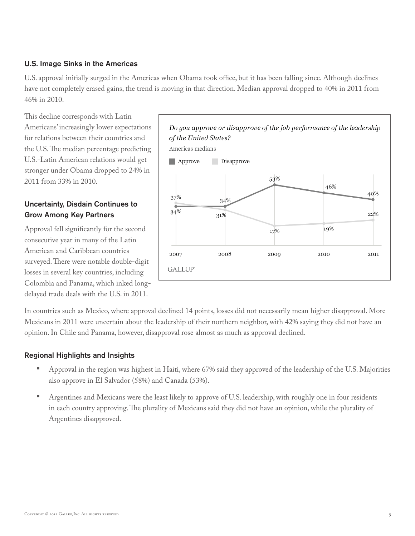#### U.S. Image Sinks in the Americas

U.S. approval initially surged in the Americas when Obama took office, but it has been falling since. Although declines have not completely erased gains, the trend is moving in that direction. Median approval dropped to 40% in 2011 from 46% in 2010.

This decline corresponds with Latin Americans' increasingly lower expectations for relations between their countries and the U.S. The median percentage predicting U.S.-Latin American relations would get stronger under Obama dropped to 24% in 2011 from 33% in 2010.

# Uncertainty, Disdain Continues to Grow Among Key Partners

Approval fell significantly for the second consecutive year in many of the Latin American and Caribbean countries surveyed. There were notable double-digit losses in several key countries, including Colombia and Panama, which inked longdelayed trade deals with the U.S. in 2011.



In countries such as Mexico, where approval declined 14 points, losses did not necessarily mean higher disapproval. More Mexicans in 2011 were uncertain about the leadership of their northern neighbor, with 42% saying they did not have an opinion. In Chile and Panama, however, disapproval rose almost as much as approval declined.

#### Regional Highlights and Insights

- Approval in the region was highest in Haiti, where 67% said they approved of the leadership of the U.S. Majorities also approve in El Salvador (58%) and Canada (53%).
- Argentines and Mexicans were the least likely to approve of U.S. leadership, with roughly one in four residents in each country approving. The plurality of Mexicans said they did not have an opinion, while the plurality of Argentines disapproved.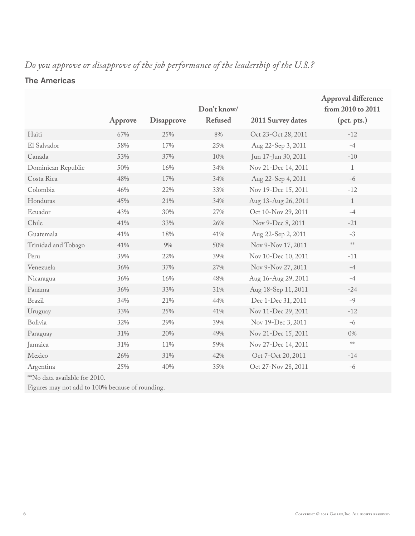# The Americas

|                     |         |                   | Don't know/<br><b>Refused</b> |                     | <b>Approval difference</b><br>from 2010 to 2011 |
|---------------------|---------|-------------------|-------------------------------|---------------------|-------------------------------------------------|
|                     | Approve | <b>Disapprove</b> |                               | 2011 Survey dates   | (pct. pts.)                                     |
| Haiti               | 67%     | 25%               | 8%                            | Oct 23-Oct 28, 2011 | $-12$                                           |
| El Salvador         | 58%     | 17%               | 25%                           | Aug 22-Sep 3, 2011  | $-4$                                            |
| Canada              | 53%     | 37%               | 10%                           | Jun 17-Jun 30, 2011 | $-10$                                           |
| Dominican Republic  | 50%     | 16%               | 34%                           | Nov 21-Dec 14, 2011 | $\mathbf{1}$                                    |
| Costa Rica          | 48%     | 17%               | 34%                           | Aug 22-Sep 4, 2011  | $-6$                                            |
| Colombia            | 46%     | 22%               | 33%                           | Nov 19-Dec 15, 2011 | $-12$                                           |
| Honduras            | 45%     | 21%               | 34%                           | Aug 13-Aug 26, 2011 | $\mathbf{1}$                                    |
| Ecuador             | 43%     | 30%               | 27%                           | Oct 10-Nov 29, 2011 | $-4$                                            |
| Chile               | 41%     | 33%               | 26%                           | Nov 9-Dec 8, 2011   | $-21$                                           |
| Guatemala           | 41%     | 18%               | 41%                           | Aug 22-Sep 2, 2011  | $-3$                                            |
| Trinidad and Tobago | 41%     | 9%                | 50%                           | Nov 9-Nov 17, 2011  | $\mathfrak{z}[\mathsf{c}\mathsf{z}]\mathsf{c}$  |
| Peru                | 39%     | 22%               | 39%                           | Nov 10-Dec 10, 2011 | $-11$                                           |
| Venezuela           | 36%     | 37%               | 27%                           | Nov 9-Nov 27, 2011  | $-4$                                            |
| Nicaragua           | 36%     | 16%               | 48%                           | Aug 16-Aug 29, 2011 | $-4$                                            |
| Panama              | 36%     | 33%               | 31%                           | Aug 18-Sep 11, 2011 | $-24$                                           |
| <b>Brazil</b>       | 34%     | 21%               | 44%                           | Dec 1-Dec 31, 2011  | $-9$                                            |
| Uruguay             | 33%     | 25%               | 41%                           | Nov 11-Dec 29, 2011 | $-12$                                           |
| Bolivia             | 32%     | 29%               | 39%                           | Nov 19-Dec 3, 2011  | $-6$                                            |
| Paraguay            | 31%     | 20%               | 49%                           | Nov 21-Dec 15, 2011 | $0\%$                                           |
| Jamaica             | 31%     | 11%               | 59%                           | Nov 27-Dec 14, 2011 | $\mathrm{p}[c\mathrm{p}]c$                      |
| Mexico              | 26%     | 31%               | 42%                           | Oct 7-Oct 20, 2011  | $-14$                                           |
| Argentina           | 25%     | 40%               | 35%                           | Oct 27-Nov 28, 2011 | $-6$                                            |
|                     |         |                   |                               |                     |                                                 |

\*\*No data available for 2010.

Figures may not add to 100% because of rounding.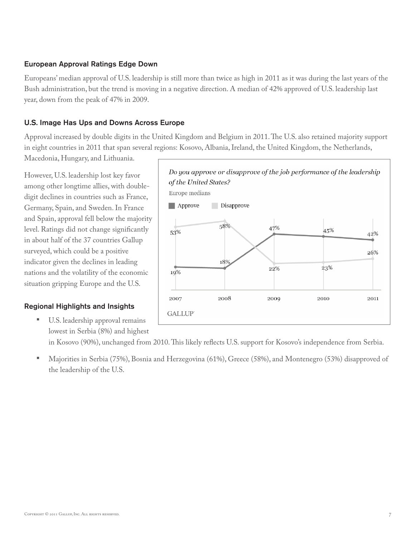#### European Approval Ratings Edge Down

Europeans' median approval of U.S. leadership is still more than twice as high in 2011 as it was during the last years of the Bush administration, but the trend is moving in a negative direction. A median of 42% approved of U.S. leadership last year, down from the peak of 47% in 2009.

### U.S. Image Has Ups and Downs Across Europe

Approval increased by double digits in the United Kingdom and Belgium in 2011. The U.S. also retained majority support in eight countries in 2011 that span several regions: Kosovo, Albania, Ireland, the United Kingdom, the Netherlands,

Macedonia, Hungary, and Lithuania.

However, U.S. leadership lost key favor among other longtime allies, with doubledigit declines in countries such as France, Germany, Spain, and Sweden. In France and Spain, approval fell below the majority level. Ratings did not change significantly in about half of the 37 countries Gallup surveyed, which could be a positive indicator given the declines in leading nations and the volatility of the economic situation gripping Europe and the U.S.

### Regional Highlights and Insights

U.S. leadership approval remains lowest in Serbia (8%) and highest



in Kosovo (90%), unchanged from 2010. This likely reflects U.S. support for Kosovo's independence from Serbia.

• Majorities in Serbia (75%), Bosnia and Herzegovina (61%), Greece (58%), and Montenegro (53%) disapproved of the leadership of the U.S.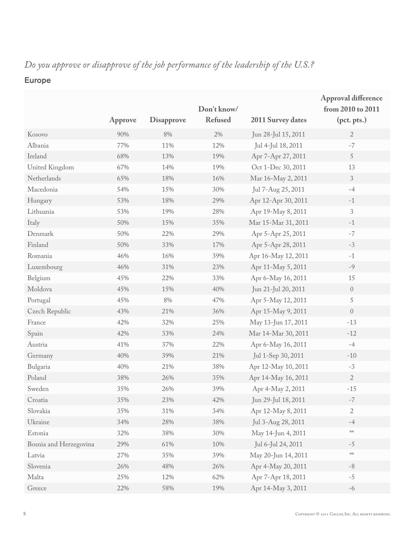# Europe

|                        |         |                   | Don't know/    |                     | <b>Approval difference</b><br>from 2010 to 2011 |
|------------------------|---------|-------------------|----------------|---------------------|-------------------------------------------------|
|                        | Approve | <b>Disapprove</b> | <b>Refused</b> | 2011 Survey dates   | (pct. pts.)                                     |
| Kosovo                 | 90%     | $8\%$             | 2%             | Jun 28-Jul 15, 2011 | $\overline{2}$                                  |
| Albania                | 77%     | 11%               | 12%            | Jul 4-Jul 18, 2011  | $-7$                                            |
| Ireland                | 68%     | 13%               | 19%            | Apr 7-Apr 27, 2011  | $\,$ 5 $\,$                                     |
| United Kingdom         | 67%     | 14%               | 19%            | Oct 1-Dec 30, 2011  | 13                                              |
| Netherlands            | 65%     | 18%               | 16%            | Mar 16-May 2, 2011  | 3                                               |
| Macedonia              | 54%     | 15%               | 30%            | Jul 7-Aug 25, 2011  | $-4$                                            |
| Hungary                | 53%     | 18%               | 29%            | Apr 12-Apr 30, 2011 | $-1$                                            |
| Lithuania              | 53%     | 19%               | 28%            | Apr 19-May 8, 2011  | 3                                               |
| Italy                  | 50%     | 15%               | 35%            | Mar 15-Mar 31, 2011 | $-1$                                            |
| Denmark                | 50%     | 22%               | 29%            | Apr 5-Apr 25, 2011  | $-7$                                            |
| Finland                | 50%     | 33%               | 17%            | Apr 5-Apr 28, 2011  | $-3$                                            |
| Romania                | 46%     | 16%               | 39%            | Apr 16-May 12, 2011 | $-1$                                            |
| Luxembourg             | 46%     | 31%               | 23%            | Apr 11-May 5, 2011  | $-9$                                            |
| Belgium                | 45%     | 22%               | 33%            | Apr 6-May 16, 2011  | 15                                              |
| Moldova                | 45%     | 15%               | 40%            | Jun 21-Jul 20, 2011 | $\sqrt{a}$                                      |
| Portugal               | 45%     | $8\%$             | 47%            | Apr 5-May 12, 2011  | 5                                               |
| Czech Republic         | 43%     | 21%               | 36%            | Apr 15-May 9, 2011  | $\bf 0$                                         |
| France                 | 42%     | 32%               | 25%            | May 13-Jun 17, 2011 | $-13$                                           |
| Spain                  | 42%     | 33%               | 24%            | Mar 14-Mar 30, 2011 | $-12$                                           |
| Austria                | 41%     | 37%               | 22%            | Apr 6-May 16, 2011  | $-4$                                            |
| Germany                | 40%     | 39%               | 21%            | Jul 1-Sep 30, 2011  | $-10$                                           |
| Bulgaria               | 40%     | 21%               | 38%            | Apr 12-May 10, 2011 | $-3$                                            |
| Poland                 | 38%     | 26%               | 35%            | Apr 14-May 16, 2011 | $\overline{2}$                                  |
| Sweden                 | 35%     | 26%               | 39%            | Apr 4-May 2, 2011   | $-15$                                           |
| Croatia                | 35%     | 23%               | 42%            | Jun 29-Jul 18, 2011 | -7                                              |
| Slovakia               | 35%     | 31%               | 34%            | Apr 12-May 8, 2011  | $\overline{2}$                                  |
| Ukraine                | 34%     | 28%               | 38%            | Jul 3-Aug 28, 2011  | $-4$                                            |
| Estonia                | 32%     | 38%               | 30%            | May 14-Jun 4, 2011  | $\mathcal{C}[\mathcal{C}]$                      |
| Bosnia and Herzegovina | 29%     | $61\%$            | 10%            | Jul 6-Jul 24, 2011  | $-5$                                            |
| Latvia                 | 27%     | $35\%$            | 39%            | May 20-Jun 14, 2011 | $\mathcal{C}[\mathcal{C}]$                      |
| Slovenia               | 26%     | 48%               | 26%            | Apr 4-May 20, 2011  | $-8$                                            |
| Malta                  | 25%     | 12%               | 62%            | Apr 7-Apr 18, 2011  | $-5$                                            |
| Greece                 | 22%     | 58%               | 19%            | Apr 14-May 3, 2011  | $-6$                                            |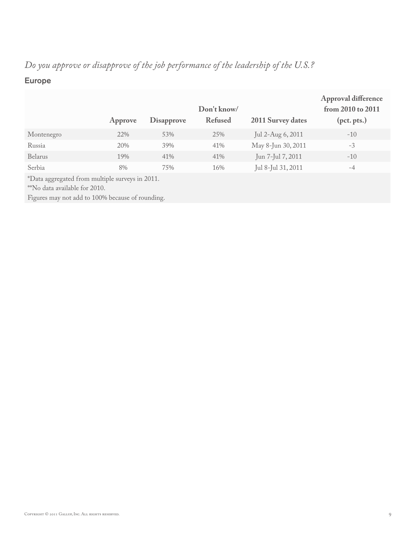# Europe

|                                                                                                                                     | Approve | <b>Disapprove</b> | Don't know/<br><b>Refused</b> | 2011 Survey dates  | <b>Approval difference</b><br>from 2010 to 2011<br>(pct. pts.) |  |  |
|-------------------------------------------------------------------------------------------------------------------------------------|---------|-------------------|-------------------------------|--------------------|----------------------------------------------------------------|--|--|
| Montenegro                                                                                                                          | 22%     | 53%               | 25%                           | Jul 2-Aug 6, 2011  | $-10$                                                          |  |  |
| Russia                                                                                                                              | 20%     | 39%               | 41%                           | May 8-Jun 30, 2011 | $-3$                                                           |  |  |
| Belarus                                                                                                                             | 19%     | 41%               | 41%                           | Jun 7-Jul 7, 2011  | $-10$                                                          |  |  |
| Serbia                                                                                                                              | 8%      | 75%               | 16%                           | Jul 8-Jul 31, 2011 | $-4$                                                           |  |  |
| *Data aggregated from multiple surveys in 2011.<br>*No data available for 2010.<br>Figures may not add to 100% because of rounding. |         |                   |                               |                    |                                                                |  |  |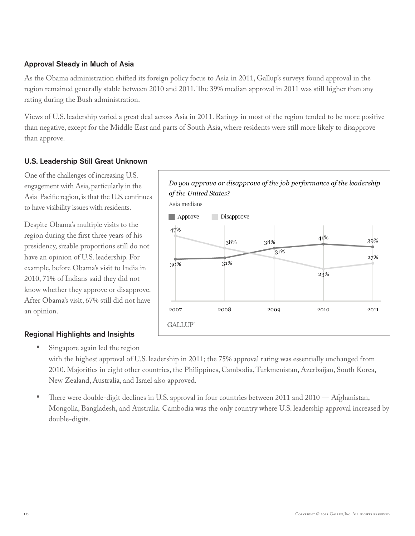#### Approval Steady in Much of Asia

As the Obama administration shifted its foreign policy focus to Asia in 2011, Gallup's surveys found approval in the region remained generally stable between 2010 and 2011. The 39% median approval in 2011 was still higher than any rating during the Bush administration.

Views of U.S. leadership varied a great deal across Asia in 2011. Ratings in most of the region tended to be more positive than negative, except for the Middle East and parts of South Asia, where residents were still more likely to disapprove than approve.

#### U.S. Leadership Still Great Unknown

One of the challenges of increasing U.S. engagement with Asia, particularly in the Asia-Pacific region, is that the U.S. continues to have visibility issues with residents.

Despite Obama's multiple visits to the region during the first three years of his presidency, sizable proportions still do not have an opinion of U.S. leadership. For example, before Obama's visit to India in 2010, 71% of Indians said they did not know whether they approve or disapprove. After Obama's visit, 67% still did not have an opinion.

### Regional Highlights and Insights



- Singapore again led the region with the highest approval of U.S. leadership in 2011; the 75% approval rating was essentially unchanged from 2010. Majorities in eight other countries, the Philippines, Cambodia, Turkmenistan, Azerbaijan, South Korea, New Zealand, Australia, and Israel also approved.
- There were double-digit declines in U.S. approval in four countries between 2011 and 2010 Afghanistan, Mongolia, Bangladesh, and Australia. Cambodia was the only country where U.S. leadership approval increased by double-digits.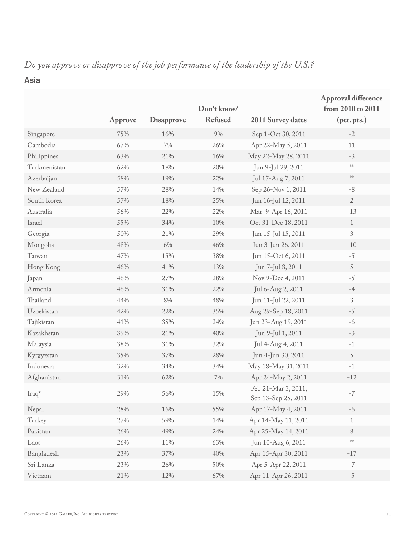### Asia

|              | Approve | <b>Disapprove</b> | Don't know/<br><b>Refused</b> | <b>2011 Survey dates</b>                   | Approval difference<br>from 2010 to 2011<br>(pct. pts.) |
|--------------|---------|-------------------|-------------------------------|--------------------------------------------|---------------------------------------------------------|
| Singapore    | 75%     | 16%               | 9%                            | Sep 1-Oct 30, 2011                         | $-2$                                                    |
| Cambodia     | 67%     | $7\%$             | 26%                           | Apr 22-May 5, 2011                         | 11                                                      |
| Philippines  | 63%     | 21%               | 16%                           | May 22-May 28, 2011                        | $-3$                                                    |
| Turkmenistan | 62%     | 18%               | 20%                           | Jun 9-Jul 29, 2011                         | $\mathcal{H}(z)$                                        |
| Azerbaijan   | 58%     | 19%               | 22%                           | Jul 17-Aug 7, 2011                         | $\mathcal{C}[c]$                                        |
| New Zealand  | 57%     | 28%               | 14%                           | Sep 26-Nov 1, 2011                         | $-8$                                                    |
| South Korea  | 57%     | 18%               | 25%                           | Jun 16-Jul 12, 2011                        | $\sqrt{2}$                                              |
| Australia    | 56%     | 22%               | 22%                           | Mar 9-Apr 16, 2011                         | $-13$                                                   |
| Israel       | 55%     | 34%               | 10%                           | Oct 31-Dec 18, 2011                        | $\mathbf{1}$                                            |
| Georgia      | 50%     | 21%               | 29%                           | Jun 15-Jul 15, 2011                        | $\ensuremath{\mathfrak{Z}}$                             |
| Mongolia     | 48%     | 6%                | 46%                           | Jun 3-Jun 26, 2011                         | $-10$                                                   |
| Taiwan       | 47%     | 15%               | 38%                           | Jun 15-Oct 6, 2011                         | $-5$                                                    |
| Hong Kong    | 46%     | 41%               | 13%                           | Jun 7-Jul 8, 2011                          | $\sqrt{5}$                                              |
| Japan        | 46%     | 27%               | 28%                           | Nov 9-Dec 4, 2011                          | $-5$                                                    |
| Armenia      | 46%     | 31%               | 22%                           | Jul 6-Aug 2, 2011                          | $-4$                                                    |
| Thailand     | 44%     | $8\%$             | 48%                           | Jun 11-Jul 22, 2011                        | $\ensuremath{\mathfrak{Z}}$                             |
| Uzbekistan   | 42%     | 22%               | 35%                           | Aug 29-Sep 18, 2011                        | $-5$                                                    |
| Tajikistan   | 41%     | 35%               | 24%                           | Jun 23-Aug 19, 2011                        | $-6$                                                    |
| Kazakhstan   | 39%     | 21%               | 40%                           | Jun 9-Jul 1, 2011                          | $-3$                                                    |
| Malaysia     | 38%     | 31%               | 32%                           | Jul 4-Aug 4, 2011                          | $-1$                                                    |
| Kyrgyzstan   | 35%     | 37%               | 28%                           | Jun 4-Jun 30, 2011                         | $\sqrt{5}$                                              |
| Indonesia    | 32%     | 34%               | 34%                           | May 18-May 31, 2011                        | $-1$                                                    |
| Afghanistan  | 31%     | 62%               | $7\%$                         | Apr 24-May 2, 2011                         | $-12$                                                   |
| $Iraq^*$     | 29%     | 56%               | 15%                           | Feb 21-Mar 3, 2011;<br>Sep 13-Sep 25, 2011 | $-7$                                                    |
| Nepal        | 28%     | 16%               | 55%                           | Apr 17-May 4, 2011                         | $-6$                                                    |
| Turkey       | 27%     | 59%               | 14%                           | Apr 14-May 11, 2011                        | $\mathbf{1}$                                            |
| Pakistan     | 26%     | 49%               | 24%                           | Apr 25-May 14, 2011                        | $8\,$                                                   |
| Laos         | 26%     | 11%               | 63%                           | Jun 10-Aug 6, 2011                         | $\mathfrak{z}[\mathfrak{c}\mathfrak{z}]\mathfrak{c}$    |
| Bangladesh   | 23%     | 37%               | 40%                           | Apr 15-Apr 30, 2011                        | $-17$                                                   |
| Sri Lanka    | 23%     | 26%               | 50%                           | Apr 5-Apr 22, 2011                         | $-7$                                                    |
| Vietnam      | $21\%$  | 12%               | $67\%$                        | Apr 11-Apr 26, 2011                        | $-5$                                                    |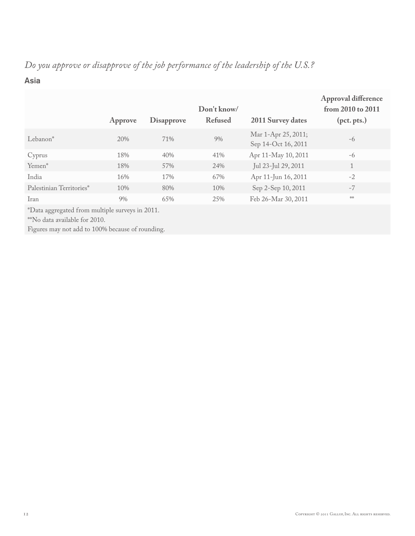### Asia

|                          | Approve | <b>Disapprove</b> | Don't know/<br><b>Refused</b> | 2011 Survey dates                          | <b>Approval difference</b><br>from 2010 to 2011<br>(pct. pts.) |
|--------------------------|---------|-------------------|-------------------------------|--------------------------------------------|----------------------------------------------------------------|
| Lebanon <sup>*</sup>     | 20%     | 71%               | 9%                            | Mar 1-Apr 25, 2011;<br>Sep 14-Oct 16, 2011 | $-6$                                                           |
| Cyprus                   | 18%     | 40%               | 41%                           | Apr 11-May 10, 2011                        | $-6$                                                           |
| Yemen*                   | 18%     | 57%               | 24%                           | Jul 23-Jul 29, 2011                        |                                                                |
| India                    | 16%     | 17%               | 67%                           | Apr 11-Jun 16, 2011                        | $-2$                                                           |
| Palestinian Territories* | 10%     | 80%               | 10%                           | Sep 2-Sep 10, 2011                         | $-7$                                                           |
| Iran                     | 9%      | 65%               | 25%                           | Feb 26-Mar 30, 2011                        | $2 c2 c$                                                       |
|                          |         |                   |                               |                                            |                                                                |

\*Data aggregated from multiple surveys in 2011.

\*\*No data available for 2010.

Figures may not add to 100% because of rounding.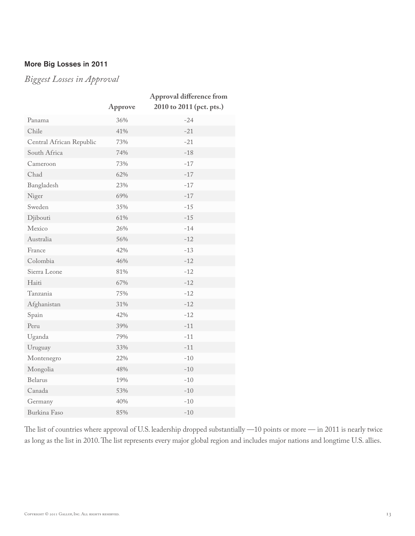### More Big Losses in 2011

*Biggest Losses in Approval*

|                          | Approve | <b>Approval difference from</b><br>2010 to 2011 (pct. pts.) |
|--------------------------|---------|-------------------------------------------------------------|
| Panama                   | 36%     | $-24$                                                       |
| Chile                    | 41%     | $-21$                                                       |
| Central African Republic | 73%     | $-21$                                                       |
| South Africa             | 74%     | $-18$                                                       |
| Cameroon                 | 73%     | $-17$                                                       |
| Chad                     | 62%     | $-17$                                                       |
| Bangladesh               | 23%     | $-17$                                                       |
| Niger                    | 69%     | $-17$                                                       |
| Sweden                   | 35%     | $-15$                                                       |
| Djibouti                 | 61%     | $-15$                                                       |
| Mexico                   | 26%     | $-14$                                                       |
| Australia                | 56%     | $-12$                                                       |
| France                   | 42%     | $-13$                                                       |
| Colombia                 | 46%     | $-12$                                                       |
| Sierra Leone             | 81%     | $-12$                                                       |
| Haiti                    | 67%     | $-12$                                                       |
| Tanzania                 | 75%     | $-12$                                                       |
| Afghanistan              | 31%     | $-12$                                                       |
| Spain                    | 42%     | $-12$                                                       |
| Peru                     | 39%     | $-11$                                                       |
| Uganda                   | 79%     | $-11$                                                       |
| Uruguay                  | 33%     | $-11$                                                       |
| Montenegro               | 22%     | $-10$                                                       |
| Mongolia                 | 48%     | $-10$                                                       |
| <b>Belarus</b>           | 19%     | $-10$                                                       |
| Canada                   | 53%     | $-10$                                                       |
| Germany                  | 40%     | $-10$                                                       |
| Burkina Faso             | 85%     | $-10$                                                       |

The list of countries where approval of U.S. leadership dropped substantially —10 points or more — in 2011 is nearly twice as long as the list in 2010. The list represents every major global region and includes major nations and longtime U.S. allies.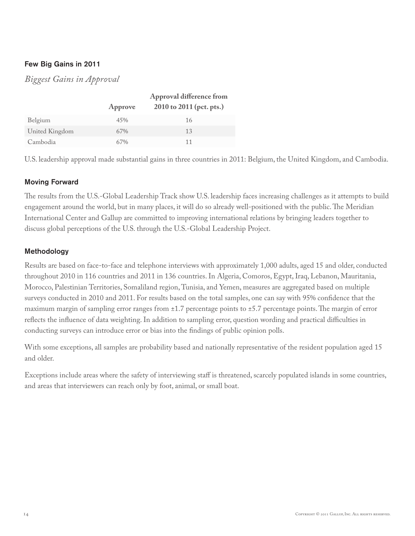#### Few Big Gains in 2011

# *Biggest Gains in Approval*

|                |         | Approval difference from |
|----------------|---------|--------------------------|
|                | Approve | 2010 to 2011 (pct. pts.) |
| Belgium        | 45%     | 16                       |
| United Kingdom | 67%     | 13                       |
| Cambodia       | 67%     |                          |

U.S. leadership approval made substantial gains in three countries in 2011: Belgium, the United Kingdom, and Cambodia.

#### Moving Forward

The results from the U.S.-Global Leadership Track show U.S. leadership faces increasing challenges as it attempts to build engagement around the world, but in many places, it will do so already well-positioned with the public. The Meridian International Center and Gallup are committed to improving international relations by bringing leaders together to discuss global perceptions of the U.S. through the U.S.-Global Leadership Project.

#### Methodology

Results are based on face-to-face and telephone interviews with approximately 1,000 adults, aged 15 and older, conducted throughout 2010 in 116 countries and 2011 in 136 countries. In Algeria, Comoros, Egypt, Iraq, Lebanon, Mauritania, Morocco, Palestinian Territories, Somaliland region, Tunisia, and Yemen, measures are aggregated based on multiple surveys conducted in 2010 and 2011. For results based on the total samples, one can say with 95% confidence that the maximum margin of sampling error ranges from ±1.7 percentage points to ±5.7 percentage points. The margin of error reflects the influence of data weighting. In addition to sampling error, question wording and practical difficulties in conducting surveys can introduce error or bias into the findings of public opinion polls.

With some exceptions, all samples are probability based and nationally representative of the resident population aged 15 and older.

Exceptions include areas where the safety of interviewing staff is threatened, scarcely populated islands in some countries, and areas that interviewers can reach only by foot, animal, or small boat.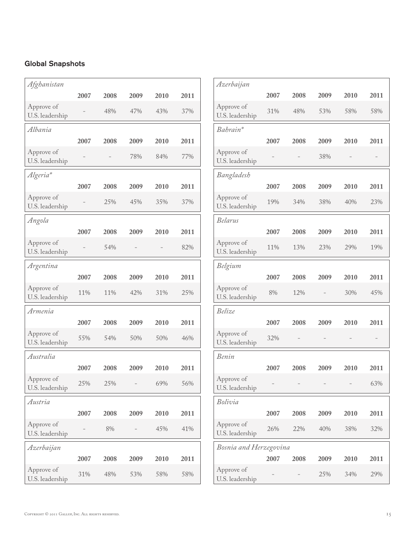### Global Snapshots

| Afghanistan                   |      |      |      |      |      |
|-------------------------------|------|------|------|------|------|
|                               | 2007 | 2008 | 2009 | 2010 | 2011 |
| Approve of<br>U.S. leadership |      | 48%  | 47%  | 43%  | 37%  |
| Albania                       |      |      |      |      |      |
|                               | 2007 | 2008 | 2009 | 2010 | 2011 |
| Approve of<br>U.S. leadership |      |      | 78%  | 84%  | 77%  |
| Algeria*                      |      |      |      |      |      |
|                               | 2007 | 2008 | 2009 | 2010 | 2011 |
| Approve of<br>U.S. leadership |      | 25%  | 45%  | 35%  | 37%  |
| Angola                        |      |      |      |      |      |
|                               | 2007 | 2008 | 2009 | 2010 | 2011 |
| Approve of<br>U.S. leadership |      | 54%  |      |      | 82%  |
| Argentina                     |      |      |      |      |      |
|                               | 2007 | 2008 | 2009 | 2010 | 2011 |
| Approve of<br>U.S. leadership | 11%  | 11%  | 42%  | 31%  | 25%  |
| Armenia                       |      |      |      |      |      |
|                               | 2007 | 2008 | 2009 | 2010 | 2011 |
| Approve of<br>U.S. leadership | 55%  | 54%  | 50%  | 50%  | 46%  |
| Australia                     |      |      |      |      |      |
|                               | 2007 | 2008 | 2009 | 2010 | 2011 |
| Approve of<br>U.S. leadership | 25%  | 25%  |      | 69%  | 56%  |
| Austria                       |      |      |      |      |      |
|                               | 2007 | 2008 | 2009 | 2010 | 2011 |
| Approve of<br>U.S. leadership |      | 8%   |      | 45%  | 41%  |
| Azerbaijan                    |      |      |      |      |      |
|                               | 2007 | 2008 | 2009 | 2010 | 2011 |
| Approve of<br>U.S. leadership | 31%  | 48%  | 53%  | 58%  | 58%  |

| Azerbaijan                    |      |      |      |      |      |
|-------------------------------|------|------|------|------|------|
|                               | 2007 | 2008 | 2009 | 2010 | 2011 |
| Approve of<br>U.S. leadership | 31%  | 48%  | 53%  | 58%  | 58%  |
| Bahrain*                      |      |      |      |      |      |
|                               | 2007 | 2008 | 2009 | 2010 | 2011 |
| Approve of<br>U.S. leadership |      |      | 38%  |      |      |
| Bangladesh                    |      |      |      |      |      |
|                               | 2007 | 2008 | 2009 | 2010 | 2011 |
| Approve of<br>U.S. leadership | 19%  | 34%  | 38%  | 40%  | 23%  |
| Belarus                       |      |      |      |      |      |
|                               | 2007 | 2008 | 2009 | 2010 | 2011 |
| Approve of<br>U.S. leadership | 11%  | 13%  | 23%  | 29%  | 19%  |
| Belgium                       |      |      |      |      |      |
|                               | 2007 | 2008 | 2009 | 2010 | 2011 |
| Approve of<br>U.S. leadership | 8%   | 12%  |      | 30%  | 45%  |
| Belize                        |      |      |      |      |      |
|                               | 2007 | 2008 | 2009 | 2010 | 2011 |
| Approve of<br>U.S. leadership | 32%  |      |      |      |      |
| Benin                         |      |      |      |      |      |
|                               | 2007 | 2008 | 2009 | 2010 | 2011 |
| Approve of<br>U.S. leadership |      |      |      |      | 63%  |
| Bolivia                       |      |      |      |      |      |
|                               | 2007 | 2008 | 2009 | 2010 | 2011 |
| Approve of<br>U.S. leadership | 26%  | 22%  | 40%  | 38%  | 32%  |
| Bosnia and Herzegovina        |      |      |      |      |      |
|                               | 2007 | 2008 | 2009 | 2010 | 2011 |
| Approve of<br>U.S. leadership |      |      | 25%  | 34%  | 29%  |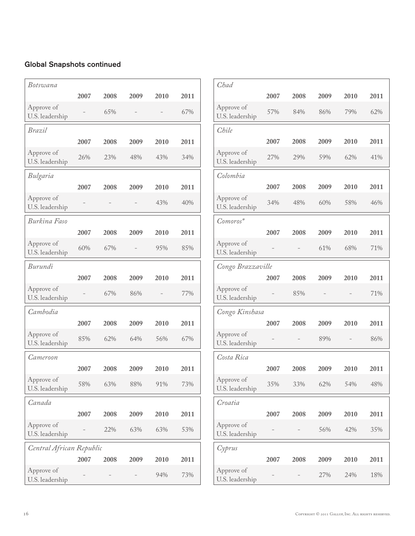| Botswana                      |      |      |      |      |      |
|-------------------------------|------|------|------|------|------|
|                               | 2007 | 2008 | 2009 | 2010 | 2011 |
| Approve of<br>U.S. leadership |      | 65%  |      |      | 67%  |
| Brazil                        |      |      |      |      |      |
|                               | 2007 | 2008 | 2009 | 2010 | 2011 |
| Approve of<br>U.S. leadership | 26%  | 23%  | 48%  | 43%  | 34%  |
| Bulgaria                      |      |      |      |      |      |
|                               | 2007 | 2008 | 2009 | 2010 | 2011 |
| Approve of<br>U.S. leadership |      |      |      | 43%  | 40%  |
| Burkina Faso                  |      |      |      |      |      |
|                               | 2007 | 2008 | 2009 | 2010 | 2011 |
| Approve of<br>U.S. leadership | 60%  | 67%  |      | 95%  | 85%  |
| Burundi                       |      |      |      |      |      |
|                               | 2007 | 2008 | 2009 | 2010 | 2011 |
| Approve of<br>U.S. leadership |      | 67%  | 86%  |      | 77%  |
| Cambodia                      |      |      |      |      |      |
|                               | 2007 | 2008 | 2009 | 2010 | 2011 |
| Approve of<br>U.S. leadership | 85%  | 62%  | 64%  | 56%  | 67%  |
| Cameroon                      |      |      |      |      |      |
|                               | 2007 | 2008 | 2009 | 2010 | 2011 |
| Approve of<br>U.S. leadership | 58%  | 63%  | 88%  | 91%  | 73%  |
| Canada                        |      |      |      |      |      |
|                               | 2007 | 2008 | 2009 | 2010 | 2011 |
| Approve of<br>U.S. leadership |      | 22%  | 63%  | 63%  | 53%  |
| Central African Republic      |      |      |      |      |      |
|                               | 2007 | 2008 | 2009 | 2010 | 2011 |
| Approve of<br>U.S. leadership |      |      |      | 94%  | 73%  |

| Chad                          |      |      |      |      |      |
|-------------------------------|------|------|------|------|------|
|                               | 2007 | 2008 | 2009 | 2010 | 2011 |
| Approve of<br>U.S. leadership | 57%  | 84%  | 86%  | 79%  | 62%  |
| Chile                         |      |      |      |      |      |
|                               | 2007 | 2008 | 2009 | 2010 | 2011 |
| Approve of<br>U.S. leadership | 27%  | 29%  | 59%  | 62%  | 41%  |
| Colombia                      |      |      |      |      |      |
|                               | 2007 | 2008 | 2009 | 2010 | 2011 |
| Approve of<br>U.S. leadership | 34%  | 48%  | 60%  | 58%  | 46%  |
| Comoros*                      |      |      |      |      |      |
|                               | 2007 | 2008 | 2009 | 2010 | 2011 |
| Approve of<br>U.S. leadership |      |      | 61%  | 68%  | 71%  |
| Congo Brazzaville             |      |      |      |      |      |
|                               | 2007 | 2008 | 2009 | 2010 | 2011 |
| Approve of<br>U.S. leadership |      | 85%  |      |      | 71%  |
| Congo Kinshasa                |      |      |      |      |      |
|                               | 2007 | 2008 | 2009 | 2010 | 2011 |
| Approve of<br>U.S. leadership |      |      | 89%  |      | 86%  |
| Costa Rica                    |      |      |      |      |      |
|                               | 2007 | 2008 | 2009 | 2010 | 2011 |
| Approve of<br>U.S. leadership | 35%  | 33%  | 62%  | 54%  | 48%  |
| Croatia                       |      |      |      |      |      |
|                               | 2007 | 2008 | 2009 | 2010 | 2011 |
| Approve of<br>U.S. leadership |      |      | 56%  | 42%  | 35%  |
| Cyprus                        |      |      |      |      |      |
|                               | 2007 | 2008 | 2009 | 2010 | 2011 |
| Approve of<br>U.S. leadership |      |      | 27%  | 24%  | 18%  |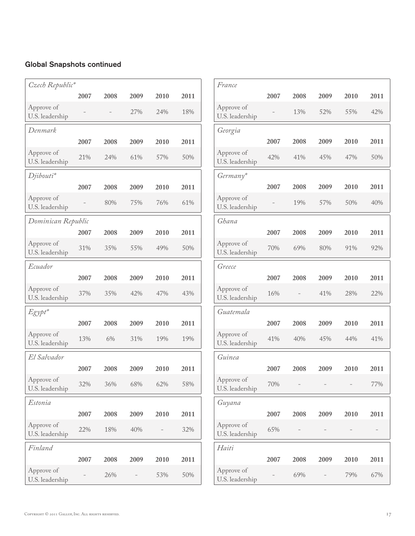| Czech Republic*               |      |      |      |      |      |
|-------------------------------|------|------|------|------|------|
|                               | 2007 | 2008 | 2009 | 2010 | 2011 |
| Approve of<br>U.S. leadership |      |      | 27%  | 24%  | 18%  |
| Denmark                       |      |      |      |      |      |
|                               | 2007 | 2008 | 2009 | 2010 | 2011 |
| Approve of<br>U.S. leadership | 21%  | 24%  | 61%  | 57%  | 50%  |
| Djibouti*                     |      |      |      |      |      |
|                               | 2007 | 2008 | 2009 | 2010 | 2011 |
| Approve of<br>U.S. leadership |      | 80%  | 75%  | 76%  | 61%  |
| Dominican Republic            |      |      |      |      |      |
|                               | 2007 | 2008 | 2009 | 2010 | 2011 |
| Approve of<br>U.S. leadership | 31%  | 35%  | 55%  | 49%  | 50%  |
| Ecuador                       |      |      |      |      |      |
|                               | 2007 | 2008 | 2009 | 2010 | 2011 |
| Approve of<br>U.S. leadership | 37%  | 35%  | 42%  | 47%  | 43%  |
| Egypt*                        |      |      |      |      |      |
|                               | 2007 | 2008 | 2009 | 2010 | 2011 |
| Approve of<br>U.S. leadership | 13%  | 6%   | 31%  | 19%  | 19%  |
| El Salvador                   |      |      |      |      |      |
|                               | 2007 | 2008 | 2009 | 2010 | 2011 |
| Approve of<br>U.S. leadership | 32%  | 36%  | 68%  | 62%  | 58%  |
| Estonia                       |      |      |      |      |      |
|                               | 2007 | 2008 | 2009 | 2010 | 2011 |
| Approve of<br>U.S. leadership | 22%  | 18%  | 40%  |      | 32%  |
| Finland                       |      |      |      |      |      |
|                               | 2007 | 2008 | 2009 | 2010 | 2011 |
| Approve of<br>U.S. leadership |      | 26%  |      | 53%  | 50%  |

| France                        |      |      |      |      |      |
|-------------------------------|------|------|------|------|------|
|                               | 2007 | 2008 | 2009 | 2010 | 2011 |
| Approve of<br>U.S. leadership |      | 13%  | 52%  | 55%  | 42%  |
| Georgia                       |      |      |      |      |      |
|                               | 2007 | 2008 | 2009 | 2010 | 2011 |
| Approve of<br>U.S. leadership | 42%  | 41%  | 45%  | 47%  | 50%  |
| Germany*                      |      |      |      |      |      |
|                               | 2007 | 2008 | 2009 | 2010 | 2011 |
| Approve of<br>U.S. leadership |      | 19%  | 57%  | 50%  | 40%  |
| Ghana                         |      |      |      |      |      |
|                               | 2007 | 2008 | 2009 | 2010 | 2011 |
| Approve of<br>U.S. leadership | 70%  | 69%  | 80%  | 91%  | 92%  |
| Greece                        |      |      |      |      |      |
|                               | 2007 | 2008 | 2009 | 2010 | 2011 |
| Approve of<br>U.S. leadership | 16%  |      | 41%  | 28%  | 22%  |
| Guatemala                     |      |      |      |      |      |
|                               | 2007 | 2008 | 2009 | 2010 | 2011 |
| Approve of<br>U.S. leadership | 41%  | 40%  | 45%  | 44%  | 41%  |
| Guinea                        |      |      |      |      |      |
|                               | 2007 | 2008 | 2009 | 2010 | 2011 |
| Approve of<br>U.S. leadership | 70%  |      |      |      | 77%  |
| Guyana                        |      |      |      |      |      |
|                               | 2007 | 2008 | 2009 | 2010 | 2011 |
| Approve of<br>U.S. leadership | 65%  |      |      |      |      |
| Haiti                         |      |      |      |      |      |
|                               | 2007 | 2008 | 2009 | 2010 | 2011 |
| Approve of<br>U.S. leadership |      | 69%  |      | 79%  | 67%  |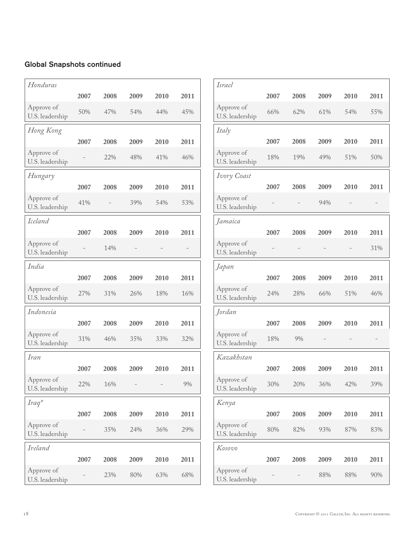| Honduras                      |      |      |      |      |      |
|-------------------------------|------|------|------|------|------|
|                               | 2007 | 2008 | 2009 | 2010 | 2011 |
| Approve of<br>U.S. leadership | 50%  | 47%  | 54%  | 44%  | 45%  |
| Hong Kong                     |      |      |      |      |      |
|                               | 2007 | 2008 | 2009 | 2010 | 2011 |
| Approve of<br>U.S. leadership |      | 22%  | 48%  | 41%  | 46%  |
| Hungary                       |      |      |      |      |      |
|                               | 2007 | 2008 | 2009 | 2010 | 2011 |
| Approve of<br>U.S. leadership | 41%  |      | 39%  | 54%  | 53%  |
| <b>Iceland</b>                |      |      |      |      |      |
|                               | 2007 | 2008 | 2009 | 2010 | 2011 |
| Approve of<br>U.S. leadership |      | 14%  |      |      |      |
| India                         |      |      |      |      |      |
|                               | 2007 | 2008 | 2009 | 2010 | 2011 |
| Approve of<br>U.S. leadership | 27%  | 31%  | 26%  | 18%  | 16%  |
| Indonesia                     |      |      |      |      |      |
|                               | 2007 | 2008 | 2009 | 2010 | 2011 |
| Approve of<br>U.S. leadership | 31%  | 46%  | 35%  | 33%  | 32%  |
| Iran                          |      |      |      |      |      |
|                               | 2007 | 2008 | 2009 | 2010 | 2011 |
| Approve of<br>U.S. leadership | 22%  | 16%  |      |      | 9%   |
| Iraq*                         |      |      |      |      |      |
|                               | 2007 | 2008 | 2009 | 2010 | 2011 |
| Approve of<br>U.S. leadership |      | 35%  | 24%  | 36%  | 29%  |
| <b>Ireland</b>                |      |      |      |      |      |
|                               | 2007 | 2008 | 2009 | 2010 | 2011 |
| Approve of<br>U.S. leadership |      | 23%  | 80%  | 63%  | 68%  |

| <b>Israel</b>                 |      |      |      |      |      |
|-------------------------------|------|------|------|------|------|
|                               | 2007 | 2008 | 2009 | 2010 | 2011 |
| Approve of<br>U.S. leadership | 66%  | 62%  | 61%  | 54%  | 55%  |
| Italy                         |      |      |      |      |      |
|                               | 2007 | 2008 | 2009 | 2010 | 2011 |
| Approve of<br>U.S. leadership | 18%  | 19%  | 49%  | 51%  | 50%  |
| Ivory Coast                   |      |      |      |      |      |
|                               | 2007 | 2008 | 2009 | 2010 | 2011 |
| Approve of<br>U.S. leadership |      |      | 94%  |      |      |
| Jamaica                       |      |      |      |      |      |
|                               | 2007 | 2008 | 2009 | 2010 | 2011 |
| Approve of<br>U.S. leadership |      |      |      |      | 31%  |
| Japan                         |      |      |      |      |      |
|                               | 2007 | 2008 | 2009 | 2010 | 2011 |
| Approve of<br>U.S. leadership | 24%  | 28%  | 66%  | 51%  | 46%  |
| Jordan                        |      |      |      |      |      |
|                               | 2007 | 2008 | 2009 | 2010 | 2011 |
| Approve of<br>U.S. leadership | 18%  | 9%   |      |      |      |
| Kazakhstan                    |      |      |      |      |      |
|                               | 2007 | 2008 | 2009 | 2010 | 2011 |
| Approve of<br>U.S. leadership | 30%  | 20%  | 36%  | 42%  | 39%  |
| Kenya                         |      |      |      |      |      |
|                               | 2007 | 2008 | 2009 | 2010 | 2011 |
| Approve of<br>U.S. leadership | 80%  | 82%  | 93%  | 87%  | 83%  |
| Kosovo                        |      |      |      |      |      |
|                               | 2007 | 2008 | 2009 | 2010 | 2011 |
| Approve of<br>U.S. leadership |      |      | 88%  | 88%  | 90%  |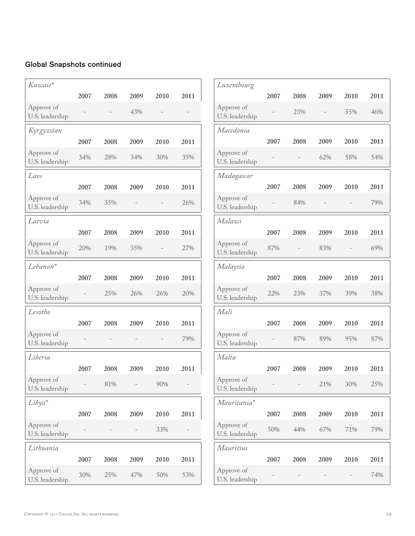| Kuwait*                       |      |      |      |      |      |
|-------------------------------|------|------|------|------|------|
|                               | 2007 | 2008 | 2009 | 2010 | 2011 |
| Approve of<br>U.S. leadership |      |      | 43%  |      |      |
| Kyrgyzstan                    |      |      |      |      |      |
|                               | 2007 | 2008 | 2009 | 2010 | 2011 |
| Approve of<br>U.S. leadership | 34%  | 28%  | 34%  | 30%  | 35%  |
| Laos                          |      |      |      |      |      |
|                               | 2007 | 2008 | 2009 | 2010 | 2011 |
| Approve of<br>U.S. leadership | 34%  | 35%  |      |      | 26%  |
| Latvia                        |      |      |      |      |      |
|                               | 2007 | 2008 | 2009 | 2010 | 2011 |
| Approve of<br>U.S. leadership | 20%  | 19%  | 35%  |      | 27%  |
| Lebanon*                      |      |      |      |      |      |
|                               | 2007 | 2008 | 2009 | 2010 | 2011 |
| Approve of<br>U.S. leadership |      | 25%  | 26%  | 26%  | 20%  |
| Lesotho                       |      |      |      |      |      |
|                               | 2007 | 2008 | 2009 | 2010 | 2011 |
| Approve of<br>U.S. leadership |      |      |      |      | 79%  |
| Liberia                       |      |      |      |      |      |
|                               | 2007 | 2008 | 2009 | 2010 | 2011 |
| Approve of<br>U.S. leadership |      | 81%  |      | 90%  |      |
| Libya*                        |      |      |      |      |      |
|                               | 2007 | 2008 | 2009 | 2010 | 2011 |
| Approve of<br>U.S. leadership |      |      |      | 33%  |      |
| Lithuania                     |      |      |      |      |      |
|                               | 2007 | 2008 | 2009 | 2010 | 2011 |
| Approve of<br>U.S. leadership | 30%  | 25%  | 47%  | 50%  | 53%  |

| Luxembourg                    |      |      |      |      |      |
|-------------------------------|------|------|------|------|------|
|                               | 2007 | 2008 | 2009 | 2010 | 2011 |
| Approve of<br>U.S. leadership |      | 23%  |      | 55%  | 46%  |
| Macedonia                     |      |      |      |      |      |
|                               | 2007 | 2008 | 2009 | 2010 | 2011 |
| Approve of<br>U.S. leadership |      |      | 62%  | 58%  | 54%  |
| Madagascar                    |      |      |      |      |      |
|                               | 2007 | 2008 | 2009 | 2010 | 2011 |
| Approve of<br>U.S. leadership |      | 84%  |      |      | 79%  |
| Malawi                        |      |      |      |      |      |
|                               | 2007 | 2008 | 2009 | 2010 | 2011 |
| Approve of<br>U.S. leadership | 87%  |      | 83%  |      | 69%  |
| Malaysia                      |      |      |      |      |      |
|                               | 2007 | 2008 | 2009 | 2010 | 2011 |
| Approve of<br>U.S. leadership | 22%  | 23%  | 37%  | 39%  | 38%  |
| Mali                          |      |      |      |      |      |
|                               | 2007 | 2008 | 2009 | 2010 | 2011 |
| Approve of<br>U.S. leadership |      | 87%  | 89%  | 95%  | 87%  |
| Malta                         |      |      |      |      |      |
|                               | 2007 | 2008 | 2009 | 2010 | 2011 |
| Approve of<br>U.S. leadership |      |      | 21%  | 30%  | 25%  |
| Mauritania*                   |      |      |      |      |      |
|                               | 2007 | 2008 | 2009 | 2010 | 2011 |
| Approve of<br>U.S. leadership | 50%  | 44%  | 67%  | 71%  | 79%  |
| <b>Mauritius</b>              |      |      |      |      |      |
|                               | 2007 | 2008 | 2009 | 2010 | 2011 |
| Approve of<br>U.S. leadership |      |      |      |      | 74%  |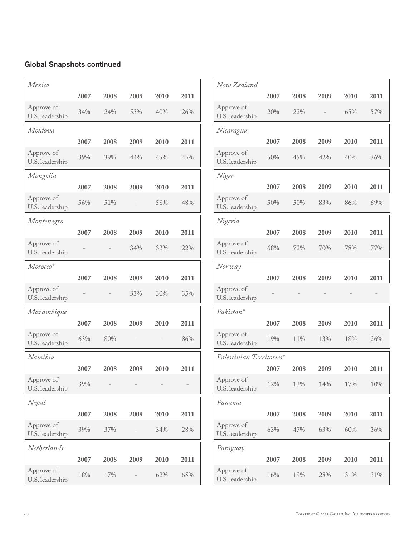| Mexico                        |      |      |      |      |      |
|-------------------------------|------|------|------|------|------|
|                               | 2007 | 2008 | 2009 | 2010 | 2011 |
| Approve of<br>U.S. leadership | 34%  | 24%  | 53%  | 40%  | 26%  |
| Moldova                       |      |      |      |      |      |
|                               | 2007 | 2008 | 2009 | 2010 | 2011 |
| Approve of<br>U.S. leadership | 39%  | 39%  | 44%  | 45%  | 45%  |
| Mongolia                      |      |      |      |      |      |
|                               | 2007 | 2008 | 2009 | 2010 | 2011 |
| Approve of<br>U.S. leadership | 56%  | 51%  |      | 58%  | 48%  |
| Montenegro                    |      |      |      |      |      |
|                               | 2007 | 2008 | 2009 | 2010 | 2011 |
| Approve of<br>U.S. leadership |      |      | 34%  | 32%  | 22%  |
| Morocco*                      |      |      |      |      |      |
|                               | 2007 | 2008 | 2009 | 2010 | 2011 |
| Approve of<br>U.S. leadership |      |      | 33%  | 30%  | 35%  |
| Mozambique                    |      |      |      |      |      |
|                               | 2007 | 2008 | 2009 | 2010 | 2011 |
| Approve of<br>U.S. leadership | 63%  | 80%  |      |      | 86%  |
| Namibia                       |      |      |      |      |      |
|                               | 2007 | 2008 | 2009 | 2010 | 2011 |
| Approve of<br>U.S. leadership | 39%  |      |      |      |      |
| Nepal                         |      |      |      |      |      |
|                               | 2007 | 2008 | 2009 | 2010 | 2011 |
| Approve of<br>U.S. leadership | 39%  | 37%  |      | 34%  | 28%  |
| Netherlands                   |      |      |      |      |      |
|                               | 2007 | 2008 | 2009 | 2010 | 2011 |
| Approve of<br>U.S. leadership | 18%  | 17%  |      | 62%  | 65%  |

| New Zealand                   |      |      |      |      |      |
|-------------------------------|------|------|------|------|------|
|                               | 2007 | 2008 | 2009 | 2010 | 2011 |
| Approve of<br>U.S. leadership | 20%  | 22%  |      | 65%  | 57%  |
| Nicaragua                     |      |      |      |      |      |
|                               | 2007 | 2008 | 2009 | 2010 | 2011 |
| Approve of<br>U.S. leadership | 50%  | 45%  | 42%  | 40%  | 36%  |
| Niger                         |      |      |      |      |      |
|                               | 2007 | 2008 | 2009 | 2010 | 2011 |
| Approve of<br>U.S. leadership | 50%  | 50%  | 83%  | 86%  | 69%  |
| Nigeria                       |      |      |      |      |      |
|                               | 2007 | 2008 | 2009 | 2010 | 2011 |
| Approve of<br>U.S. leadership | 68%  | 72%  | 70%  | 78%  | 77%  |
| Norway                        |      |      |      |      |      |
|                               | 2007 | 2008 | 2009 | 2010 | 2011 |
| Approve of<br>U.S. leadership |      |      |      |      |      |
| Pakistan*                     |      |      |      |      |      |
|                               | 2007 | 2008 | 2009 | 2010 | 2011 |
| Approve of<br>U.S. leadership | 19%  | 11%  | 13%  | 18%  | 26%  |
| Palestinian Territories*      |      |      |      |      |      |
|                               | 2007 | 2008 | 2009 | 2010 | 2011 |
| Approve of<br>U.S. leadership | 12%  | 13%  | 14%  | 17%  | 10%  |
| Panama                        |      |      |      |      |      |
|                               | 2007 | 2008 | 2009 | 2010 | 2011 |
| Approve of<br>U.S. leadership | 63%  | 47%  | 63%  | 60%  | 36%  |
| Paraguay                      |      |      |      |      |      |
|                               | 2007 | 2008 | 2009 | 2010 | 2011 |
|                               |      |      |      |      |      |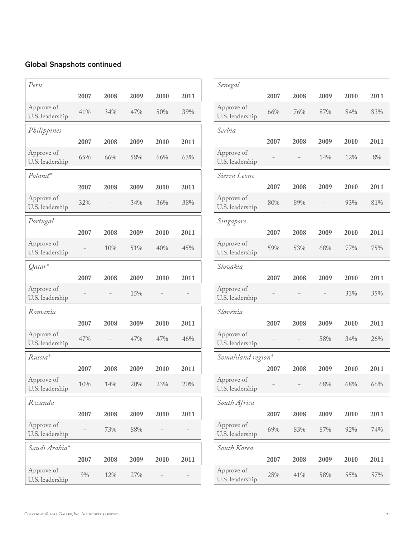| Peru                          |      |      |      |      |      |
|-------------------------------|------|------|------|------|------|
|                               | 2007 | 2008 | 2009 | 2010 | 2011 |
| Approve of<br>U.S. leadership | 41%  | 34%  | 47%  | 50%  | 39%  |
| Philippines                   |      |      |      |      |      |
|                               | 2007 | 2008 | 2009 | 2010 | 2011 |
| Approve of<br>U.S. leadership | 65%  | 66%  | 58%  | 66%  | 63%  |
| Poland*                       |      |      |      |      |      |
|                               | 2007 | 2008 | 2009 | 2010 | 2011 |
| Approve of<br>U.S. leadership | 32%  |      | 34%  | 36%  | 38%  |
| Portugal                      |      |      |      |      |      |
|                               | 2007 | 2008 | 2009 | 2010 | 2011 |
| Approve of<br>U.S. leadership |      | 10%  | 51%  | 40%  | 45%  |
| Qatar*                        |      |      |      |      |      |
|                               | 2007 | 2008 | 2009 | 2010 | 2011 |
| Approve of<br>U.S. leadership |      |      | 15%  |      |      |
| Romania                       |      |      |      |      |      |
|                               | 2007 | 2008 | 2009 | 2010 | 2011 |
| Approve of<br>U.S. leadership | 47%  |      | 47%  | 47%  | 46%  |
| Russia*                       |      |      |      |      |      |
|                               | 2007 | 2008 | 2009 | 2010 | 2011 |
| Approve of<br>U.S. leadership | 10%  | 14%  | 20%  | 23%  | 20%  |
| Rwanda                        |      |      |      |      |      |
|                               | 2007 | 2008 | 2009 | 2010 | 2011 |
| Approve of<br>U.S. leadership |      | 73%  | 88%  |      |      |
| Saudi Arabia*                 |      |      |      |      |      |
|                               | 2007 | 2008 | 2009 | 2010 | 2011 |
| Approve of                    |      |      |      |      |      |

| Senegal                       |      |      |      |      |      |
|-------------------------------|------|------|------|------|------|
|                               | 2007 | 2008 | 2009 | 2010 | 2011 |
| Approve of<br>U.S. leadership | 66%  | 76%  | 87%  | 84%  | 83%  |
| Serbia                        |      |      |      |      |      |
|                               | 2007 | 2008 | 2009 | 2010 | 2011 |
| Approve of<br>U.S. leadership |      |      | 14%  | 12%  | 8%   |
| Sierra Leone                  |      |      |      |      |      |
|                               | 2007 | 2008 | 2009 | 2010 | 2011 |
| Approve of<br>U.S. leadership | 80%  | 89%  |      | 93%  | 81%  |
| Singapore                     |      |      |      |      |      |
|                               | 2007 | 2008 | 2009 | 2010 | 2011 |
| Approve of<br>U.S. leadership | 59%  | 53%  | 68%  | 77%  | 75%  |
| Slovakia                      |      |      |      |      |      |
|                               | 2007 | 2008 | 2009 | 2010 | 2011 |
| Approve of<br>U.S. leadership |      |      |      | 33%  | 35%  |
| Slovenia                      |      |      |      |      |      |
|                               | 2007 | 2008 | 2009 | 2010 | 2011 |
| Approve of<br>U.S. leadership |      |      | 58%  | 34%  | 26%  |
| Somaliland region*            |      |      |      |      |      |
|                               | 2007 | 2008 | 2009 | 2010 | 2011 |
| Approve of<br>U.S. leadership |      |      | 68%  | 68%  | 66%  |
| South Africa                  |      |      |      |      |      |
|                               | 2007 | 2008 | 2009 | 2010 | 2011 |
| Approve of<br>U.S. leadership | 69%  | 83%  | 87%  | 92%  | 74%  |
|                               |      |      |      |      |      |
| South Korea                   |      |      |      |      |      |
| Approve of                    | 2007 | 2008 | 2009 | 2010 | 2011 |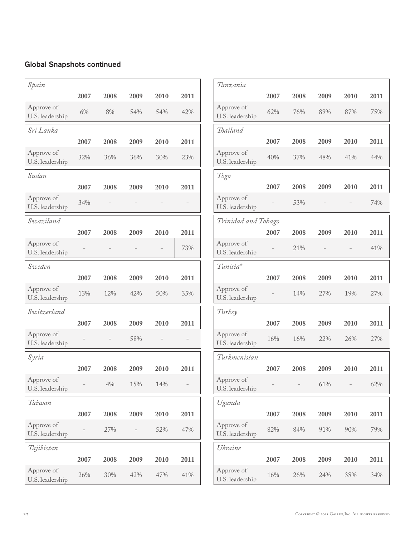| Spain                         |      |      |      |      |      |
|-------------------------------|------|------|------|------|------|
|                               | 2007 | 2008 | 2009 | 2010 | 2011 |
| Approve of<br>U.S. leadership | 6%   | 8%   | 54%  | 54%  | 42%  |
| Sri Lanka                     |      |      |      |      |      |
|                               | 2007 | 2008 | 2009 | 2010 | 2011 |
| Approve of<br>U.S. leadership | 32%  | 36%  | 36%  | 30%  | 23%  |
| Sudan                         |      |      |      |      |      |
|                               | 2007 | 2008 | 2009 | 2010 | 2011 |
| Approve of<br>U.S. leadership | 34%  |      |      |      |      |
| Swaziland                     |      |      |      |      |      |
|                               | 2007 | 2008 | 2009 | 2010 | 2011 |
| Approve of<br>U.S. leadership |      |      |      |      | 73%  |
| Sweden                        |      |      |      |      |      |
|                               | 2007 | 2008 | 2009 | 2010 | 2011 |
| Approve of<br>U.S. leadership | 13%  | 12%  | 42%  | 50%  | 35%  |
| Switzerland                   |      |      |      |      |      |
|                               | 2007 | 2008 | 2009 | 2010 | 2011 |
| Approve of<br>U.S. leadership |      |      | 58%  |      |      |
| Syria                         |      |      |      |      |      |
|                               | 2007 | 2008 | 2009 | 2010 | 2011 |
| Approve of<br>U.S. leadership |      | 4%   | 15%  | 14%  |      |
| Taiwan                        |      |      |      |      |      |
|                               | 2007 | 2008 | 2009 | 2010 | 2011 |
| Approve of<br>U.S. leadership |      | 27%  |      | 52%  | 47%  |
| Tajikistan                    |      |      |      |      |      |
|                               | 2007 | 2008 | 2009 | 2010 | 2011 |
| Approve of<br>U.S. leadership | 26%  | 30%  | 42%  | 47%  | 41%  |

| Tanzania                      |      |      |      |      |      |  |  |
|-------------------------------|------|------|------|------|------|--|--|
|                               | 2007 | 2008 | 2009 | 2010 | 2011 |  |  |
| Approve of<br>U.S. leadership | 62%  | 76%  | 89%  | 87%  | 75%  |  |  |
| Thailand                      |      |      |      |      |      |  |  |
|                               | 2007 | 2008 | 2009 | 2010 | 2011 |  |  |
| Approve of<br>U.S. leadership | 40%  | 37%  | 48%  | 41%  | 44%  |  |  |
| Togo                          |      |      |      |      |      |  |  |
|                               | 2007 | 2008 | 2009 | 2010 | 2011 |  |  |
| Approve of<br>U.S. leadership |      | 53%  |      |      | 74%  |  |  |
| Trinidad and Tobago           |      |      |      |      |      |  |  |
|                               | 2007 | 2008 | 2009 | 2010 | 2011 |  |  |
| Approve of<br>U.S. leadership |      | 21%  |      |      | 41%  |  |  |
| Tunisia*                      |      |      |      |      |      |  |  |
|                               | 2007 | 2008 | 2009 | 2010 | 2011 |  |  |
| Approve of<br>U.S. leadership |      | 14%  | 27%  | 19%  | 27%  |  |  |
| Turkey                        |      |      |      |      |      |  |  |
|                               | 2007 | 2008 | 2009 | 2010 | 2011 |  |  |
| Approve of<br>U.S. leadership | 16%  | 16%  | 22%  | 26%  | 27%  |  |  |
| Turkmenistan                  |      |      |      |      |      |  |  |
|                               | 2007 | 2008 | 2009 | 2010 | 2011 |  |  |
| Approve of<br>U.S. leadership |      |      | 61%  |      | 62%  |  |  |
| Uganda                        |      |      |      |      |      |  |  |
|                               | 2007 | 2008 | 2009 | 2010 | 2011 |  |  |
| Approve of<br>U.S. leadership | 82%  | 84%  | 91%  | 90%  | 79%  |  |  |
| Ukraine                       |      |      |      |      |      |  |  |
|                               | 2007 | 2008 | 2009 | 2010 | 2011 |  |  |
| Approve of<br>U.S. leadership | 16%  | 26%  | 24%  | 38%  | 34%  |  |  |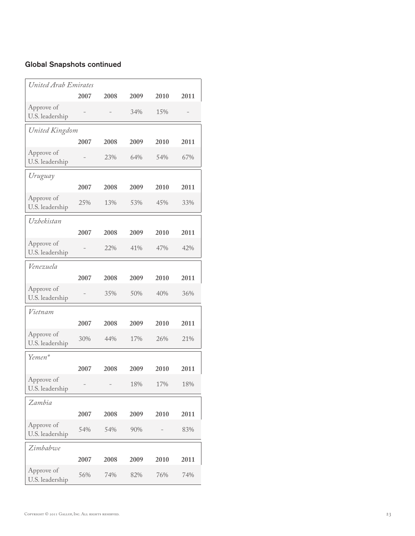| United Arab Emirates          |      |      |      |      |      |  |  |  |
|-------------------------------|------|------|------|------|------|--|--|--|
|                               | 2007 | 2008 | 2009 | 2010 | 2011 |  |  |  |
| Approve of<br>U.S. leadership |      |      | 34%  | 15%  |      |  |  |  |
| United Kingdom                |      |      |      |      |      |  |  |  |
|                               | 2007 | 2008 | 2009 | 2010 | 2011 |  |  |  |
| Approve of<br>U.S. leadership |      | 23%  | 64%  | 54%  | 67%  |  |  |  |
| Uruguay                       |      |      |      |      |      |  |  |  |
|                               | 2007 | 2008 | 2009 | 2010 | 2011 |  |  |  |
| Approve of<br>U.S. leadership | 25%  | 13%  | 53%  | 45%  | 33%  |  |  |  |
| Uzbekistan                    |      |      |      |      |      |  |  |  |
|                               | 2007 | 2008 | 2009 | 2010 | 2011 |  |  |  |
| Approve of<br>U.S. leadership |      | 22%  | 41%  | 47%  | 42%  |  |  |  |
| Venezuela                     |      |      |      |      |      |  |  |  |
|                               | 2007 | 2008 | 2009 | 2010 | 2011 |  |  |  |
| Approve of<br>U.S. leadership |      | 35%  | 50%  | 40%  | 36%  |  |  |  |
| Vietnam                       |      |      |      |      |      |  |  |  |
|                               | 2007 | 2008 | 2009 | 2010 | 2011 |  |  |  |
| Approve of<br>U.S. leadership | 30%  | 44%  | 17%  | 26%  | 21%  |  |  |  |
| Yemen*                        |      |      |      |      |      |  |  |  |
|                               | 2007 | 2008 | 2009 | 2010 | 2011 |  |  |  |
| Approve of<br>U.S. leadership |      |      | 18%  | 17%  | 18%  |  |  |  |
| Zambia                        |      |      |      |      |      |  |  |  |
|                               | 2007 | 2008 | 2009 | 2010 | 2011 |  |  |  |
| Approve of<br>U.S. leadership | 54%  | 54%  | 90%  |      | 83%  |  |  |  |
| Zimbabwe                      |      |      |      |      |      |  |  |  |
|                               | 2007 | 2008 | 2009 | 2010 | 2011 |  |  |  |
| Approve of<br>U.S. leadership | 56%  | 74%  | 82%  | 76%  | 74%  |  |  |  |